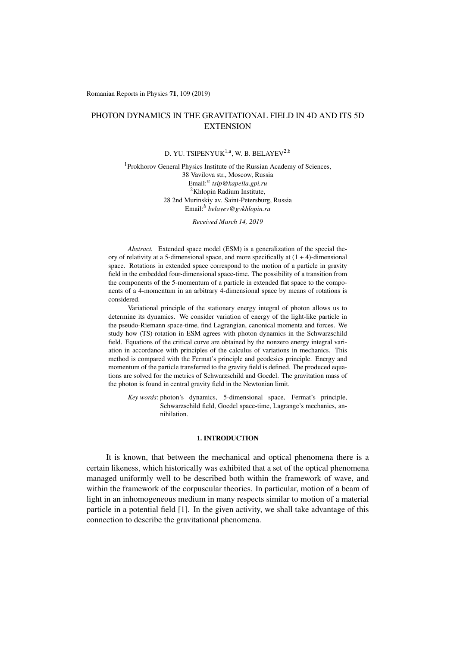Romanian Reports in Physics 71, 109 (2019)

# PHOTON DYNAMICS IN THE GRAVITATIONAL FIELD IN 4D AND ITS 5D **EXTENSION**

# D. YU. TSIPENYUK<sup>1,a</sup>, W. B. BELAYEV<sup>2,b</sup>

### <sup>1</sup>Prokhorov General Physics Institute of the Russian Academy of Sciences, 38 Vavilova str., Moscow, Russia Email:*<sup>a</sup> tsip@kapella.gpi.ru* 2Khlopin Radium Institute, 28 2nd Murinskiy av. Saint-Petersburg, Russia Email:*<sup>b</sup> belayev@gvkhlopin.ru*

*Received March 14, 2019*

*Abstract.* Extended space model (ESM) is a generalization of the special theory of relativity at a 5-dimensional space, and more specifically at  $(1 + 4)$ -dimensional space. Rotations in extended space correspond to the motion of a particle in gravity field in the embedded four-dimensional space-time. The possibility of a transition from the components of the 5-momentum of a particle in extended flat space to the components of a 4-momentum in an arbitrary 4-dimensional space by means of rotations is considered.

Variational principle of the stationary energy integral of photon allows us to determine its dynamics. We consider variation of energy of the light-like particle in the pseudo-Riemann space-time, find Lagrangian, canonical momenta and forces. We study how (TS)-rotation in ESM agrees with photon dynamics in the Schwarzschild field. Equations of the critical curve are obtained by the nonzero energy integral variation in accordance with principles of the calculus of variations in mechanics. This method is compared with the Fermat's principle and geodesics principle. Energy and momentum of the particle transferred to the gravity field is defined. The produced equations are solved for the metrics of Schwarzschild and Goedel. The gravitation mass of the photon is found in central gravity field in the Newtonian limit.

*Key words*: photon's dynamics, 5-dimensional space, Fermat's principle, Schwarzschild field, Goedel space-time, Lagrange's mechanics, annihilation.

### 1. INTRODUCTION

It is known, that between the mechanical and optical phenomena there is a certain likeness, which historically was exhibited that a set of the optical phenomena managed uniformly well to be described both within the framework of wave, and within the framework of the corpuscular theories. In particular, motion of a beam of light in an inhomogeneous medium in many respects similar to motion of a material particle in a potential field [1]. In the given activity, we shall take advantage of this connection to describe the gravitational phenomena.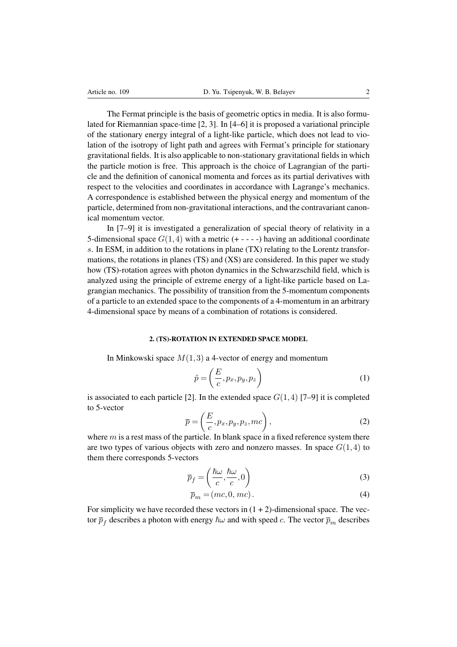The Fermat principle is the basis of geometric optics in media. It is also formulated for Riemannian space-time [2, 3]. In [4–6] it is proposed a variational principle of the stationary energy integral of a light-like particle, which does not lead to violation of the isotropy of light path and agrees with Fermat's principle for stationary gravitational fields. It is also applicable to non-stationary gravitational fields in which the particle motion is free. This approach is the choice of Lagrangian of the particle and the definition of canonical momenta and forces as its partial derivatives with respect to the velocities and coordinates in accordance with Lagrange's mechanics. A correspondence is established between the physical energy and momentum of the particle, determined from non-gravitational interactions, and the contravariant canonical momentum vector.

In [7–9] it is investigated a generalization of special theory of relativity in a 5-dimensional space  $G(1,4)$  with a metric  $(+ - - -)$  having an additional coordinate *s*. In ESM, in addition to the rotations in plane (TX) relating to the Lorentz transformations, the rotations in planes (TS) and (XS) are considered. In this paper we study how (TS)-rotation agrees with photon dynamics in the Schwarzschild field, which is analyzed using the principle of extreme energy of a light-like particle based on Lagrangian mechanics. The possibility of transition from the 5-momentum components of a particle to an extended space to the components of a 4-momentum in an arbitrary 4-dimensional space by means of a combination of rotations is considered.

#### 2. (TS)-ROTATION IN EXTENDED SPACE MODEL

In Minkowski space *M*(1*,*3) a 4-vector of energy and momentum

$$
\tilde{p} = \left(\frac{E}{c}, p_x, p_y, p_z\right) \tag{1}
$$

is associated to each particle [2]. In the extended space  $G(1,4)$  [7–9] it is completed to 5-vector

$$
\overline{p} = \left(\frac{E}{c}, p_x, p_y, p_z, mc\right),\tag{2}
$$

where *m* is a rest mass of the particle. In blank space in a fixed reference system there are two types of various objects with zero and nonzero masses. In space  $G(1,4)$  to them there corresponds 5-vectors

$$
\overline{p}_f = \left(\frac{\hbar\omega}{c}, \frac{\hbar\omega}{c}, 0\right) \tag{3}
$$

$$
\overline{p}_m = (mc, 0, mc). \tag{4}
$$

For simplicity we have recorded these vectors in  $(1 + 2)$ -dimensional space. The vector  $\bar{p}_f$  describes a photon with energy  $\hbar\omega$  and with speed *c*. The vector  $\bar{p}_m$  describes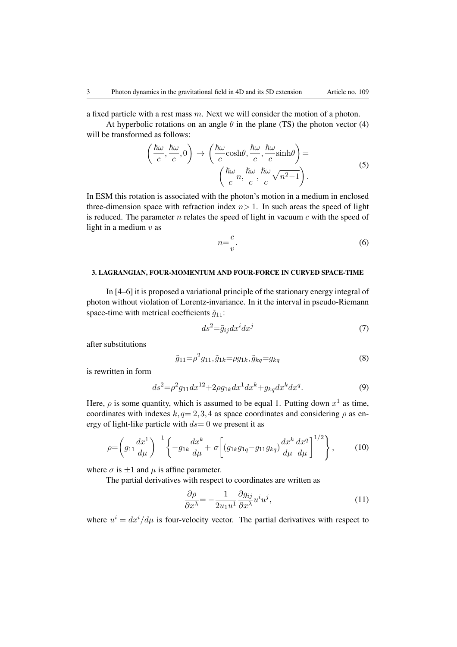a fixed particle with a rest mass *m*. Next we will consider the motion of a photon.

At hyperbolic rotations on an angle  $\theta$  in the plane (TS) the photon vector (4) will be transformed as follows:

$$
\left(\frac{\hbar\omega}{c}, \frac{\hbar\omega}{c}, 0\right) \rightarrow \left(\frac{\hbar\omega}{c}\cosh\theta, \frac{\hbar\omega}{c}, \frac{\hbar\omega}{c}\sinh\theta\right) = \left(\frac{\hbar\omega}{c}n, \frac{\hbar\omega}{c}, \frac{\hbar\omega}{c}\sqrt{n^2-1}\right).
$$
\n(5)

In ESM this rotation is associated with the photon's motion in a medium in enclosed three-dimension space with refraction index  $n>1$ . In such areas the speed of light is reduced. The parameter *n* relates the speed of light in vacuum *c* with the speed of light in a medium *v* as

$$
n = \frac{c}{v}.\tag{6}
$$

### 3. LAGRANGIAN, FOUR-MOMENTUM AND FOUR-FORCE IN CURVED SPACE-TIME

In [4–6] it is proposed a variational principle of the stationary energy integral of photon without violation of Lorentz-invariance. In it the interval in pseudo-Riemann space-time with metrical coefficients  $\tilde{g}_{11}$ :

$$
ds^2 = \tilde{g}_{ij} dx^i dx^j \tag{7}
$$

after substitutions

$$
\tilde{g}_{11} = \rho^2 g_{11}, \tilde{g}_{1k} = \rho g_{1k}, \tilde{g}_{kq} = g_{kq} \tag{8}
$$

is rewritten in form

$$
ds^{2} = \rho^{2} g_{11} dx^{12} + 2\rho g_{1k} dx^{1} dx^{k} + g_{kq} dx^{k} dx^{q}.
$$
 (9)

Here,  $\rho$  is some quantity, which is assumed to be equal 1. Putting down  $x^1$  as time, coordinates with indexes  $k, q= 2, 3, 4$  as space coordinates and considering  $\rho$  as energy of light-like particle with *ds*= 0 we present it as

$$
\rho = \left(g_{11}\frac{dx^1}{d\mu}\right)^{-1} \left\{-g_{1k}\frac{dx^k}{d\mu} + \sigma \left[ (g_{1k}g_{1q} - g_{11}g_{kq})\frac{dx^k}{d\mu}\frac{dx^q}{d\mu} \right]^{1/2} \right\},\tag{10}
$$

where  $\sigma$  is  $\pm 1$  and  $\mu$  is affine parameter.

The partial derivatives with respect to coordinates are written as

$$
\frac{\partial \rho}{\partial x^{\lambda}} = -\frac{1}{2u_1 u^1} \frac{\partial g_{ij}}{\partial x^{\lambda}} u^i u^j,
$$
\n(11)

where  $u^i = dx^i/d\mu$  is four-velocity vector. The partial derivatives with respect to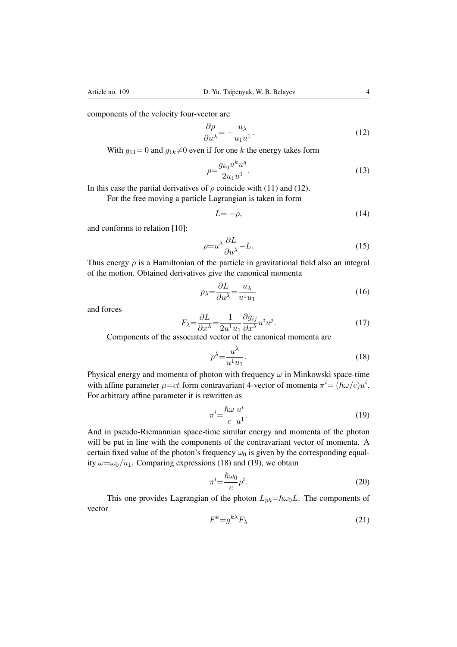components of the velocity four-vector are

$$
\frac{\partial \rho}{\partial u^{\lambda}} = -\frac{u_{\lambda}}{u_1 u^1}.
$$
\n(12)

With  $g_{11}=0$  and  $g_{1k}\neq0$  even if for one *k* the energy takes form

$$
\rho = \frac{g_{kq}u^k u^q}{2u_1 u^1}.\tag{13}
$$

In this case the partial derivatives of  $\rho$  coincide with (11) and (12).

For the free moving a particle Lagrangian is taken in form

$$
L = -\rho,\tag{14}
$$

and conforms to relation [10]:

$$
\rho = u^{\lambda} \frac{\partial L}{\partial u^{\lambda}} - L. \tag{15}
$$

Thus energy  $\rho$  is a Hamiltonian of the particle in gravitational field also an integral of the motion. Obtained derivatives give the canonical momenta

$$
p_{\lambda} = \frac{\partial L}{\partial u^{\lambda}} = \frac{u_{\lambda}}{u^1 u_1} \tag{16}
$$

and forces

$$
F_{\lambda} = \frac{\partial L}{\partial x^{\lambda}} = \frac{1}{2u^1 u_1} \frac{\partial g_{ij}}{\partial x^{\lambda}} u^i u^j.
$$
 (17)

Components of the associated vector of the canonical momenta are

$$
p^{\lambda} = \frac{u^{\lambda}}{u^1 u_1}.
$$
\n(18)

Physical energy and momenta of photon with frequency  $\omega$  in Minkowski space-time with affine parameter  $\mu = ct$  form contravariant 4-vector of momenta  $\pi^{i} = (\hbar \omega/c)u^{i}$ . For arbitrary affine parameter it is rewritten as

$$
\pi^i = \frac{\hbar\omega}{c} \frac{u^i}{u^1}.
$$
\n(19)

And in pseudo-Riemannian space-time similar energy and momenta of the photon will be put in line with the components of the contravariant vector of momenta. A certain fixed value of the photon's frequency  $\omega_0$  is given by the corresponding equality  $\omega = \omega_0/u_1$ . Comparing expressions (18) and (19), we obtain

$$
\pi^i = \frac{\hbar\omega_0}{c}p^i.
$$
\n(20)

This one provides Lagrangian of the photon  $L_{ph} = \hbar \omega_0 L$ . The components of vector

$$
F^k = g^{k\lambda} F_\lambda \tag{21}
$$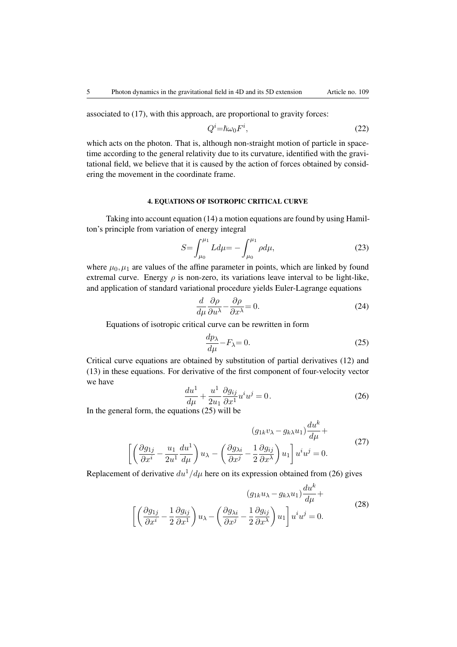associated to (17), with this approach, are proportional to gravity forces:

$$
Q^i = \hbar \omega_0 F^i,\tag{22}
$$

which acts on the photon. That is, although non-straight motion of particle in spacetime according to the general relativity due to its curvature, identified with the gravitational field, we believe that it is caused by the action of forces obtained by considering the movement in the coordinate frame.

# 4. EQUATIONS OF ISOTROPIC CRITICAL CURVE

Taking into account equation (14) a motion equations are found by using Hamilton's principle from variation of energy integral

$$
S = \int_{\mu_0}^{\mu_1} L d\mu = -\int_{\mu_0}^{\mu_1} \rho d\mu,\tag{23}
$$

where  $\mu_0, \mu_1$  are values of the affine parameter in points, which are linked by found extremal curve. Energy  $\rho$  is non-zero, its variations leave interval to be light-like, and application of standard variational procedure yields Euler-Lagrange equations

$$
\frac{d}{d\mu}\frac{\partial \rho}{\partial u^{\lambda}} - \frac{\partial \rho}{\partial x^{\lambda}} = 0.
$$
\n(24)

Equations of isotropic critical curve can be rewritten in form

$$
\frac{dp_{\lambda}}{d\mu} - F_{\lambda} = 0. \tag{25}
$$

Critical curve equations are obtained by substitution of partial derivatives (12) and (13) in these equations. For derivative of the first component of four-velocity vector we have

$$
\frac{du^1}{d\mu} + \frac{u^1}{2u_1} \frac{\partial g_{ij}}{\partial x^1} u^i u^j = 0.
$$
\n(26)

In the general form, the equations (25) will be

$$
(g_{1k}v_{\lambda} - g_{k\lambda}u_1)\frac{du^k}{d\mu} +
$$

$$
\left[\left(\frac{\partial g_{1j}}{\partial x^i} - \frac{u_1}{2u^1}\frac{du^1}{d\mu}\right)u_{\lambda} - \left(\frac{\partial g_{\lambda i}}{\partial x^j} - \frac{1}{2}\frac{\partial g_{ij}}{\partial x^{\lambda}}\right)u_1\right]u^iu^j = 0.
$$
 (27)

Replacement of derivative  $du^1/d\mu$  here on its expression obtained from (26) gives

$$
(g_{1k}u_{\lambda} - g_{k\lambda}u_1)\frac{du^k}{d\mu} + \left[\left(\frac{\partial g_{1j}}{\partial x^i} - \frac{1}{2}\frac{\partial g_{ij}}{\partial x^1}\right)u_{\lambda} - \left(\frac{\partial g_{\lambda i}}{\partial x^j} - \frac{1}{2}\frac{\partial g_{ij}}{\partial x^{\lambda}}\right)u_1\right]u^iu^j = 0.
$$
\n(28)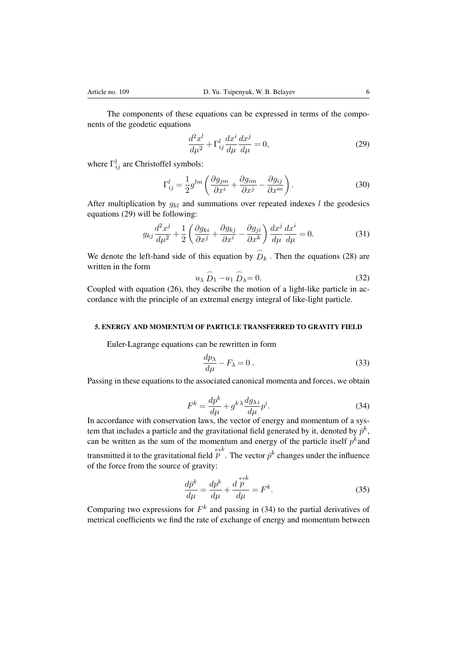The components of these equations can be expressed in terms of the components of the geodetic equations

$$
\frac{d^2x^l}{d\mu^2} + \Gamma^l_{ij}\frac{dx^i}{d\mu}\frac{dx^j}{d\mu} = 0,
$$
\n(29)

where  $\Gamma_{ij}^l$  are Christoffel symbols:

$$
\Gamma_{ij}^l = \frac{1}{2} g^{lm} \left( \frac{\partial g_{jm}}{\partial x^i} + \frac{\partial g_{im}}{\partial x^j} - \frac{\partial g_{ij}}{\partial x^m} \right). \tag{30}
$$

After multiplication by  $g_{kl}$  and summations over repeated indexes  $l$  the geodesics equations (29) will be following:

$$
g_{kj}\frac{d^2x^j}{d\mu^2} + \frac{1}{2}\left(\frac{\partial g_{ki}}{\partial x^j} + \frac{\partial g_{kj}}{\partial x^i} - \frac{\partial g_{ji}}{\partial x^k}\right)\frac{dx^j}{d\mu}\frac{dx^i}{d\mu} = 0.
$$
 (31)

We denote the left-hand side of this equation by  $\widehat{D}_k$ . Then the equations (28) are written in the form

$$
u_{\lambda} \stackrel{\frown}{D}_1 - u_1 \stackrel{\frown}{D}_{\lambda} = 0. \tag{32}
$$

Coupled with equation (26), they describe the motion of a light-like particle in accordance with the principle of an extremal energy integral of like-light particle.

# 5. ENERGY AND MOMENTUM OF PARTICLE TRANSFERRED TO GRAVITY FIELD

Euler-Lagrange equations can be rewritten in form

$$
\frac{dp_{\lambda}}{d\mu} - F_{\lambda} = 0.
$$
\n(33)

Passing in these equations to the associated canonical momenta and forces, we obtain

$$
F^{k} = \frac{dp^{k}}{d\mu} + g^{k\lambda} \frac{dg_{\lambda i}}{d\mu} p^{i}.
$$
 (34)

In accordance with conservation laws, the vector of energy and momentum of a system that includes a particle and the gravitational field generated by it, denoted by  $\bar{p}^k$ , can be written as the sum of the momentum and energy of the particle itself  $p^k$  and transmitted it to the gravitational field  $\overleftrightarrow{p}^k$ . The vector  $\overrightarrow{p}^k$  changes under the influence of the force from the source of gravity:

$$
\frac{d\bar{p}^k}{d\mu} = \frac{dp^k}{d\mu} + \frac{d\stackrel{\leftrightarrow k}{p}}{d\mu} = F^k.
$$
\n(35)

Comparing two expressions for  $F^k$  and passing in (34) to the partial derivatives of metrical coefficients we find the rate of exchange of energy and momentum between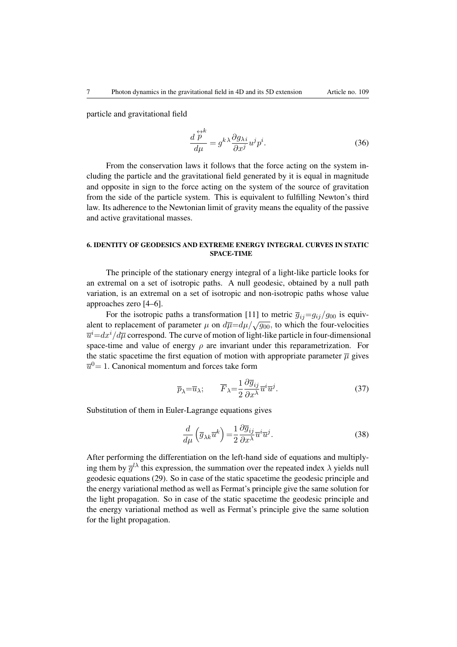particle and gravitational field

$$
\frac{d\stackrel{\leftrightarrow k}{p}}{d\mu} = g^{k\lambda} \frac{\partial g_{\lambda i}}{\partial x^j} u^j p^i.
$$
 (36)

From the conservation laws it follows that the force acting on the system including the particle and the gravitational field generated by it is equal in magnitude and opposite in sign to the force acting on the system of the source of gravitation from the side of the particle system. This is equivalent to fulfilling Newton's third law. Its adherence to the Newtonian limit of gravity means the equality of the passive and active gravitational masses.

### 6. IDENTITY OF GEODESICS AND EXTREME ENERGY INTEGRAL CURVES IN STATIC SPACE-TIME

The principle of the stationary energy integral of a light-like particle looks for an extremal on a set of isotropic paths. A null geodesic, obtained by a null path variation, is an extremal on a set of isotropic and non-isotropic paths whose value approaches zero [4–6].

For the isotropic paths a transformation [11] to metric  $\overline{g}_{ij}=g_{ij}/g_{00}$  is equivalent to replacement of parameter  $\mu$  on  $d\overline{\mu} = d\mu / \sqrt{g_{00}}$ , to which the four-velocities  $\overline{u}^i$ = $dx^i/d\overline{\mu}$  correspond. The curve of motion of light-like particle in four-dimensional space-time and value of energy  $\rho$  are invariant under this reparametrization. For the static spacetime the first equation of motion with appropriate parameter  $\overline{\mu}$  gives  $\overline{u}^0$  = 1. Canonical momentum and forces take form

$$
\overline{p}_{\lambda} = \overline{u}_{\lambda}; \qquad \overline{F}_{\lambda} = \frac{1}{2} \frac{\partial \overline{g}_{ij}}{\partial x^{\lambda}} \overline{u}^{i} \overline{u}^{j}.
$$
 (37)

Substitution of them in Euler-Lagrange equations gives

$$
\frac{d}{d\mu}\left(\overline{g}_{\lambda k}\overline{u}^{k}\right) = \frac{1}{2}\frac{\partial\overline{g}_{ij}}{\partial x^{\lambda}}\overline{u}^{i}\overline{u}^{j}.
$$
\n(38)

After performing the differentiation on the left-hand side of equations and multiplying them by  $\overline{g}^{l\lambda}$  this expression, the summation over the repeated index  $\lambda$  yields null geodesic equations (29). So in case of the static spacetime the geodesic principle and the energy variational method as well as Fermat's principle give the same solution for the light propagation. So in case of the static spacetime the geodesic principle and the energy variational method as well as Fermat's principle give the same solution for the light propagation.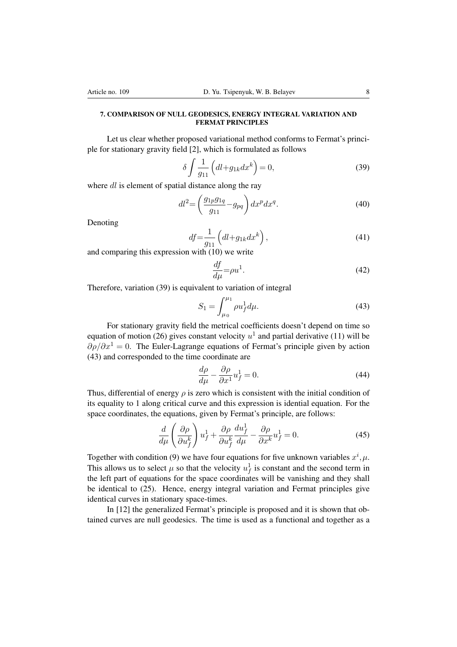#### 7. COMPARISON OF NULL GEODESICS, ENERGY INTEGRAL VARIATION AND FERMAT PRINCIPLES

Let us clear whether proposed variational method conforms to Fermat's principle for stationary gravity field [2], which is formulated as follows

$$
\delta \int \frac{1}{g_{11}} \left( dl + g_{1k} dx^k \right) = 0,\tag{39}
$$

where *dl* is element of spatial distance along the ray

$$
dl^2 = \left(\frac{g_{1p}g_{1q}}{g_{11}} - g_{pq}\right)dx^p dx^q.
$$
\n
$$
(40)
$$

Denoting

$$
df = \frac{1}{g_{11}} \left( dl + g_{1k} dx^k \right),\tag{41}
$$

and comparing this expression with (10) we write

$$
\frac{df}{d\mu} = \rho u^1. \tag{42}
$$

Therefore, variation (39) is equivalent to variation of integral

$$
S_1 = \int_{\mu_0}^{\mu_1} \rho u_f^1 d\mu.
$$
 (43)

For stationary gravity field the metrical coefficients doesn't depend on time so equation of motion (26) gives constant velocity  $u^1$  and partial derivative (11) will be  $\partial \rho/\partial x^1 = 0$ . The Euler-Lagrange equations of Fermat's principle given by action (43) and corresponded to the time coordinate are

$$
\frac{d\rho}{d\mu} - \frac{\partial \rho}{\partial x^1} u_f^1 = 0.
$$
\n(44)

Thus, differential of energy  $\rho$  is zero which is consistent with the initial condition of its equality to 1 along critical curve and this expression is idential equation. For the space coordinates, the equations, given by Fermat's principle, are follows:

$$
\frac{d}{d\mu} \left( \frac{\partial \rho}{\partial u_f^k} \right) u_f^1 + \frac{\partial \rho}{\partial u_f^k} \frac{du_f^1}{d\mu} - \frac{\partial \rho}{\partial x^k} u_f^1 = 0.
$$
\n(45)

Together with condition (9) we have four equations for five unknown variables  $x^i, \mu$ . This allows us to select  $\mu$  so that the velocity  $u_f^1$  is constant and the second term in the left part of equations for the space coordinates will be vanishing and they shall be identical to (25). Hence, energy integral variation and Fermat principles give identical curves in stationary space-times.

In [12] the generalized Fermat's principle is proposed and it is shown that obtained curves are null geodesics. The time is used as a functional and together as a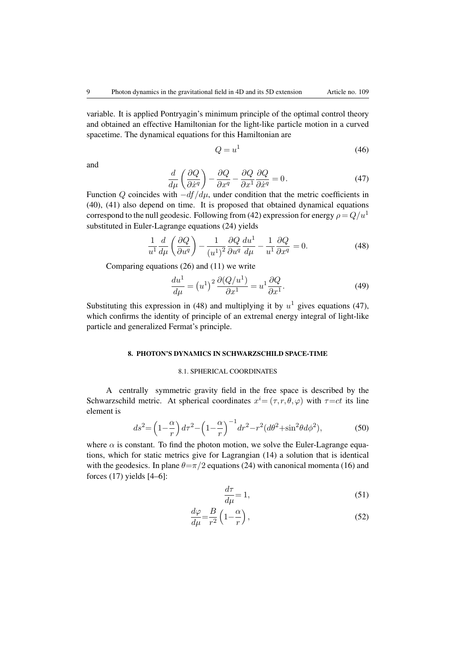variable. It is applied Pontryagin's minimum principle of the optimal control theory and obtained an effective Hamiltonian for the light-like particle motion in a curved spacetime. The dynamical equations for this Hamiltonian are

$$
Q = u^1 \tag{46}
$$

and

$$
\frac{d}{d\mu} \left( \frac{\partial Q}{\partial \dot{x}^q} \right) - \frac{\partial Q}{\partial x^q} - \frac{\partial Q}{\partial x^1} \frac{\partial Q}{\partial \dot{x}^q} = 0.
$$
\n(47)

Function *Q* coincides with  $-df/d\mu$ , under condition that the metric coefficients in (40), (41) also depend on time. It is proposed that obtained dynamical equations correspond to the null geodesic. Following from (42) expression for energy  $\rho = Q/u^1$ substituted in Euler-Lagrange equations (24) yields

$$
\frac{1}{u^1}\frac{d}{d\mu}\left(\frac{\partial Q}{\partial u^q}\right) - \frac{1}{(u^1)^2}\frac{\partial Q}{\partial u^q}\frac{du^1}{d\mu} - \frac{1}{u^1}\frac{\partial Q}{\partial x^q} = 0.
$$
\n(48)

Comparing equations (26) and (11) we write

$$
\frac{du^1}{d\mu} = \left(u^1\right)^2 \frac{\partial (Q/u^1)}{\partial x^1} = u^1 \frac{\partial Q}{\partial x^1}.
$$
\n(49)

Substituting this expression in (48) and multiplying it by  $u^1$  gives equations (47), which confirms the identity of principle of an extremal energy integral of light-like particle and generalized Fermat's principle.

#### 8. PHOTON'S DYNAMICS IN SCHWARZSCHILD SPACE-TIME

### 8.1. SPHERICAL COORDINATES

A centrally symmetric gravity field in the free space is described by the Schwarzschild metric. At spherical coordinates  $x^i = (\tau, r, \theta, \varphi)$  with  $\tau = ct$  its line element is

$$
ds^{2} = \left(1 - \frac{\alpha}{r}\right)d\tau^{2} - \left(1 - \frac{\alpha}{r}\right)^{-1}dr^{2} - r^{2}(d\theta^{2} + \sin^{2}\theta d\phi^{2}),
$$
 (50)

where  $\alpha$  is constant. To find the photon motion, we solve the Euler-Lagrange equations, which for static metrics give for Lagrangian (14) a solution that is identical with the geodesics. In plane  $\theta = \pi/2$  equations (24) with canonical momenta (16) and forces (17) yields [4–6]:

$$
\frac{d\tau}{d\mu} = 1,\tag{51}
$$

$$
\frac{d\varphi}{d\mu} = \frac{B}{r^2} \left( 1 - \frac{\alpha}{r} \right),\tag{52}
$$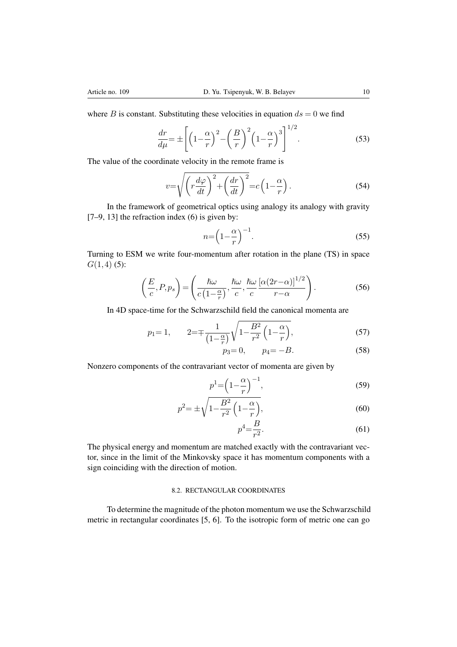where *B* is constant. Substituting these velocities in equation  $ds = 0$  we find

$$
\frac{dr}{d\mu} = \pm \left[ \left( 1 - \frac{\alpha}{r} \right)^2 - \left( \frac{B}{r} \right)^2 \left( 1 - \frac{\alpha}{r} \right)^3 \right]^{1/2} . \tag{53}
$$

The value of the coordinate velocity in the remote frame is

$$
v = \sqrt{\left(r\frac{d\varphi}{dt}\right)^2 + \left(\frac{dr}{dt}\right)^2} = c\left(1 - \frac{\alpha}{r}\right). \tag{54}
$$

In the framework of geometrical optics using analogy its analogy with gravity  $[7-9, 13]$  the refraction index  $(6)$  is given by:

$$
n = \left(1 - \frac{\alpha}{r}\right)^{-1}.\tag{55}
$$

Turning to ESM we write four-momentum after rotation in the plane (TS) in space *G*(1*,*4) (5):

$$
\left(\frac{E}{c}, P, p_s\right) = \left(\frac{\hbar\omega}{c\left(1 - \frac{\alpha}{r}\right)}, \frac{\hbar\omega}{c}, \frac{\hbar\omega}{c}\frac{\left[\alpha(2r - \alpha)\right]^{1/2}}{r - \alpha}\right). \tag{56}
$$

In 4D space-time for the Schwarzschild field the canonical momenta are

$$
p_1 = 1,
$$
  $2 = \mp \frac{1}{\left(1 - \frac{\alpha}{r}\right)} \sqrt{1 - \frac{B^2}{r^2} \left(1 - \frac{\alpha}{r}\right)},$  (57)

$$
p_3 = 0, \qquad p_4 = -B. \tag{58}
$$

Nonzero components of the contravariant vector of momenta are given by

$$
p^1 = \left(1 - \frac{\alpha}{r}\right)^{-1},\tag{59}
$$

$$
p^2 = \pm \sqrt{1 - \frac{B^2}{r^2} \left(1 - \frac{\alpha}{r}\right)},
$$
\n(60)

$$
p^4 = \frac{B}{r^2}.\tag{61}
$$

The physical energy and momentum are matched exactly with the contravariant vector, since in the limit of the Minkovsky space it has momentum components with a sign coinciding with the direction of motion.

# 8.2. RECTANGULAR COORDINATES

To determine the magnitude of the photon momentum we use the Schwarzschild metric in rectangular coordinates [5, 6]. To the isotropic form of metric one can go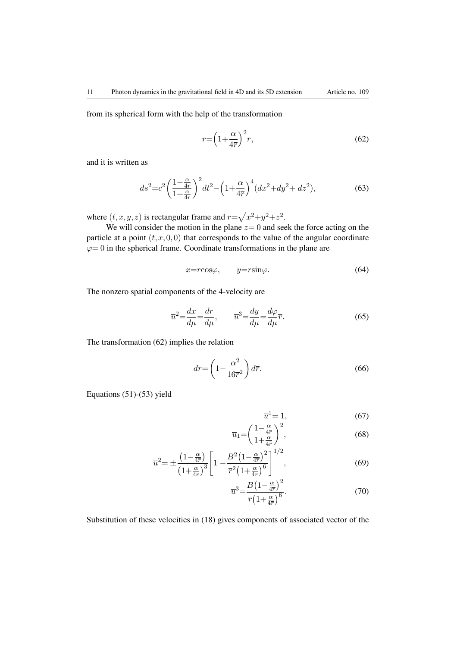from its spherical form with the help of the transformation

$$
r = \left(1 + \frac{\alpha}{4\overline{r}}\right)^2 \overline{r},\tag{62}
$$

and it is written as

$$
ds^{2} = c^{2} \left(\frac{1 - \frac{\alpha}{4\overline{r}}}{1 + \frac{\alpha}{4\overline{r}}}\right)^{2} dt^{2} - \left(1 + \frac{\alpha}{4\overline{r}}\right)^{4} (dx^{2} + dy^{2} + dz^{2}),
$$
(63)

where  $(t, x, y, z)$  is rectangular frame and  $\overline{r} = \sqrt{x^2 + y^2 + z^2}$ .

We will consider the motion in the plane  $z = 0$  and seek the force acting on the particle at a point  $(t, x, 0, 0)$  that corresponds to the value of the angular coordinate  $\varphi = 0$  in the spherical frame. Coordinate transformations in the plane are

$$
x = \overline{r}\cos\varphi, \qquad y = \overline{r}\sin\varphi. \tag{64}
$$

The nonzero spatial components of the 4-velocity are

$$
\overline{u}^2 = \frac{dx}{d\mu} = \frac{d\overline{r}}{d\mu}, \qquad \overline{u}^3 = \frac{dy}{d\mu} = \frac{d\varphi}{d\mu}\overline{r}.
$$
\n(65)

The transformation (62) implies the relation

$$
dr = \left(1 - \frac{\alpha^2}{16\overline{r}^2}\right)d\overline{r}.\tag{66}
$$

Equations (51)-(53) yield

$$
\overline{u}^1 = 1,\tag{67}
$$

$$
\overline{u}_1 = \left(\frac{1 - \frac{\alpha}{4\overline{r}}}{1 + \frac{\alpha}{4\overline{r}}}\right)^2,\tag{68}
$$

$$
\overline{u}^2 = \pm \frac{\left(1 - \frac{\alpha}{4\overline{r}}\right)}{\left(1 + \frac{\alpha}{4\overline{r}}\right)^3} \left[1 - \frac{B^2 \left(1 - \frac{\alpha}{4\overline{r}}\right)^2}{\overline{r}^2 \left(1 + \frac{\alpha}{4\overline{r}}\right)^6}\right]^{1/2},\tag{69}
$$

$$
\overline{u}^3 = \frac{B\left(1 - \frac{\alpha}{4\overline{r}}\right)^2}{\overline{r}\left(1 + \frac{\alpha}{4\overline{r}}\right)^6}.
$$
\n(70)

Substitution of these velocities in (18) gives components of associated vector of the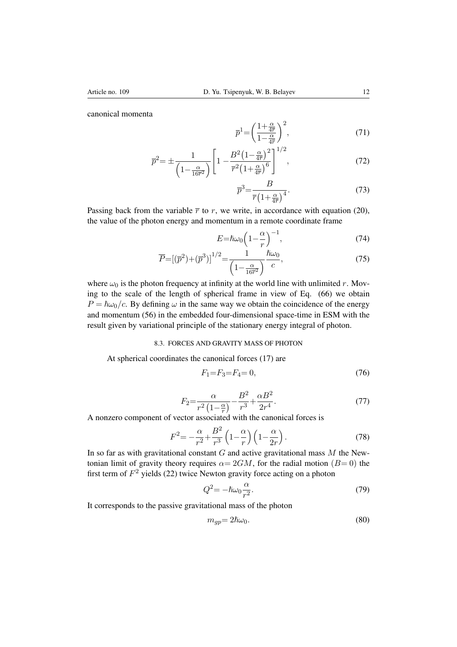canonical momenta

$$
\overline{p}^1 = \left(\frac{1 + \frac{\alpha}{4\overline{r}}}{1 - \frac{\alpha}{4\overline{r}}}\right)^2,\tag{71}
$$

$$
\overline{p}^2 = \pm \frac{1}{\left(1 - \frac{\alpha}{16\overline{r}^2}\right)} \left[1 - \frac{B^2 \left(1 - \frac{\alpha}{4\overline{r}}\right)^2}{\overline{r}^2 \left(1 + \frac{\alpha}{4\overline{r}}\right)^6}\right]^{1/2},\tag{72}
$$

$$
\overline{p}^3 = \frac{B}{\overline{r}\left(1 + \frac{\alpha}{4\overline{r}}\right)^4}.\tag{73}
$$

Passing back from the variable  $\bar{r}$  to r, we write, in accordance with equation (20), the value of the photon energy and momentum in a remote coordinate frame

$$
E = \hbar \omega_0 \left( 1 - \frac{\alpha}{r} \right)^{-1},\tag{74}
$$

$$
\overline{P} = \left[ (\overline{p}^2) + (\overline{p}^3) \right]^{1/2} = \frac{1}{\left( 1 - \frac{\alpha}{16\overline{r}^2} \right)} \frac{\hbar \omega_0}{c},\tag{75}
$$

where  $\omega_0$  is the photon frequency at infinity at the world line with unlimited *r*. Moving to the scale of the length of spherical frame in view of Eq. (66) we obtain  $P = \hbar \omega_0/c$ . By defining  $\omega$  in the same way we obtain the coincidence of the energy and momentum (56) in the embedded four-dimensional space-time in ESM with the result given by variational principle of the stationary energy integral of photon.

# 8.3. FORCES AND GRAVITY MASS OF PHOTON

At spherical coordinates the canonical forces (17) are

$$
F_1 = F_3 = F_4 = 0,\t(76)
$$

$$
F_2 = \frac{\alpha}{r^2 \left(1 - \frac{\alpha}{r}\right)} - \frac{B^2}{r^3} + \frac{\alpha B^2}{2r^4}.
$$
\n(77)

 $\frac{1}{2}r^2 - \frac{1}{r^2} \left(1 - \frac{\alpha}{r}\right) - \frac{1}{r^3} - \frac{1}{r^4}$ <br>A nonzero component of vector associated with the canonical forces is

$$
F^{2} = -\frac{\alpha}{r^{2}} + \frac{B^{2}}{r^{3}} \left(1 - \frac{\alpha}{r}\right) \left(1 - \frac{\alpha}{2r}\right). \tag{78}
$$

In so far as with gravitational constant *G* and active gravitational mass *M* the Newtonian limit of gravity theory requires  $\alpha = 2GM$ , for the radial motion ( $B=0$ ) the first term of  $F<sup>2</sup>$  yields (22) twice Newton gravity force acting on a photon

$$
Q^2 = -\hbar\omega_0 \frac{\alpha}{r^2}.\tag{79}
$$

It corresponds to the passive gravitational mass of the photon

$$
m_{gp} = 2\hbar\omega_0. \tag{80}
$$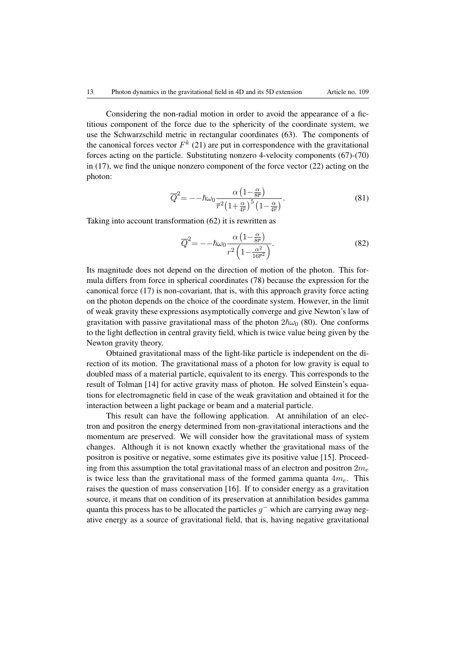Considering the non-radial motion in order to avoid the appearance of a fictitious component of the force due to the sphericity of the coordinate system, we use the Schwarzschild metric in rectangular coordinates (63). The components of the canonical forces vector  $F^k$  (21) are put in correspondence with the gravitational forces acting on the particle. Substituting nonzero 4-velocity components (67)-(70) in (17), we find the unique nonzero component of the force vector (22) acting on the photon:

$$
\overline{Q}^2 = -\hbar\omega_0 \frac{\alpha \left(1 - \frac{\alpha}{8\overline{r}}\right)}{\overline{r}^2 \left(1 + \frac{\alpha}{4\overline{r}}\right)^5 \left(1 - \frac{\alpha}{4\overline{r}}\right)}.
$$
\n(81)

Taking into account transformation (62) it is rewritten as

$$
\overline{Q}^2 = -\hbar\omega_0 \frac{\alpha \left(1 - \frac{\alpha}{8\overline{r}}\right)}{r^2 \left(1 - \frac{\alpha^2}{16\overline{r}^2}\right)}.
$$
\n(82)

Its magnitude does not depend on the direction of motion of the photon. This formula differs from force in spherical coordinates (78) because the expression for the canonical force (17) is non-covariant, that is, with this approach gravity force acting on the photon depends on the choice of the coordinate system. However, in the limit of weak gravity these expressions asymptotically converge and give Newton's law of gravitation with passive gravitational mass of the photon  $2\hbar\omega_0$  (80). One conforms to the light deflection in central gravity field, which is twice value being given by the Newton gravity theory.

Obtained gravitational mass of the light-like particle is independent on the direction of its motion. The gravitational mass of a photon for low gravity is equal to doubled mass of a material particle, equivalent to its energy. This corresponds to the result of Tolman [14] for active gravity mass of photon. He solved Einstein's equations for electromagnetic field in case of the weak gravitation and obtained it for the interaction between a light package or beam and a material particle.

This result can have the following application. At annihilation of an electron and positron the energy determined from non-gravitational interactions and the momentum are preserved. We will consider how the gravitational mass of system changes. Although it is not known exactly whether the gravitational mass of the positron is positive or negative, some estimates give its positive value [15]. Proceeding from this assumption the total gravitational mass of an electron and positron 2*m<sup>e</sup>* is twice less than the gravitational mass of the formed gamma quanta 4*me*. This raises the question of mass conservation [16]. If to consider energy as a gravitation source, it means that on condition of its preservation at annihilation besides gamma quanta this process has to be allocated the particles  $q<sup>-</sup>$  which are carrying away negative energy as a source of gravitational field, that is, having negative gravitational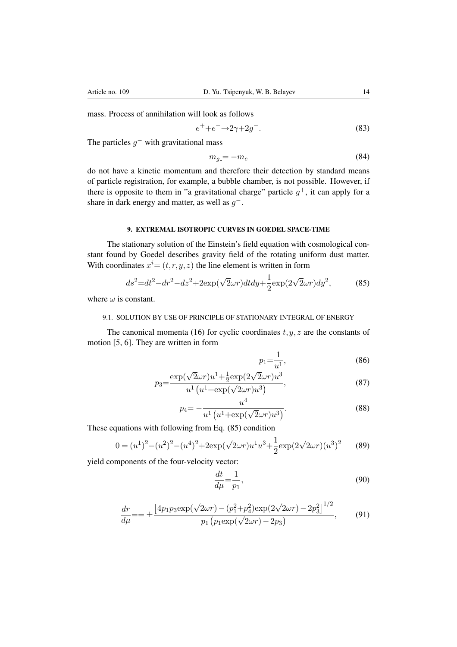mass. Process of annihilation will look as follows

$$
e^+ + e^- \rightarrow 2\gamma + 2g^-. \tag{83}
$$

The particles  $g^-$  with gravitational mass

$$
m_{g} = -m_e \tag{84}
$$

do not have a kinetic momentum and therefore their detection by standard means of particle registration, for example, a bubble chamber, is not possible. However, if there is opposite to them in "a gravitational charge" particle  $g^+$ , it can apply for a share in dark energy and matter, as well as *g.*

### 9. EXTREMAL ISOTROPIC CURVES IN GOEDEL SPACE-TIME

The stationary solution of the Einstein's field equation with cosmological constant found by Goedel describes gravity field of the rotating uniform dust matter. With coordinates  $x^i = (t, r, y, z)$  the line element is written in form

$$
ds^{2} = dt^{2} - dr^{2} - dz^{2} + 2\exp(\sqrt{2}\omega r)dt dy + \frac{1}{2}\exp(2\sqrt{2}\omega r)dy^{2},
$$
 (85)

where  $\omega$  is constant.

### 9.1. SOLUTION BY USE OF PRINCIPLE OF STATIONARY INTEGRAL OF ENERGY

The canonical momenta (16) for cyclic coordinates  $t, y, z$  are the constants of motion [5, 6]. They are written in form

$$
p_1 = \frac{1}{u^1},\tag{86}
$$

$$
p_3 = \frac{\exp(\sqrt{2}\omega r)u^1 + \frac{1}{2}\exp(2\sqrt{2}\omega r)u^3}{u^1(u^1 + \exp(\sqrt{2}\omega r)u^3)},
$$
\n(87)

$$
p_4 = -\frac{u^4}{u^1 \left(u^1 + \exp(\sqrt{2}\omega r)u^3\right)}.\tag{88}
$$

These equations with following from Eq. (85) condition

$$
0 = (u^1)^2 - (u^2)^2 - (u^4)^2 + 2\exp(\sqrt{2}\omega r)u^1u^3 + \frac{1}{2}\exp(2\sqrt{2}\omega r)(u^3)^2
$$
 (89)

yield components of the four-velocity vector:

$$
\frac{dt}{d\mu} = \frac{1}{p_1},\tag{90}
$$

$$
\frac{dr}{d\mu} = \pm \frac{\left[4p_1p_3 \exp(\sqrt{2}\omega r) - (p_1^2 + p_4^2)\exp(2\sqrt{2}\omega r) - 2p_3^2\right]^{1/2}}{p_1\left(p_1 \exp(\sqrt{2}\omega r) - 2p_3\right)},\tag{91}
$$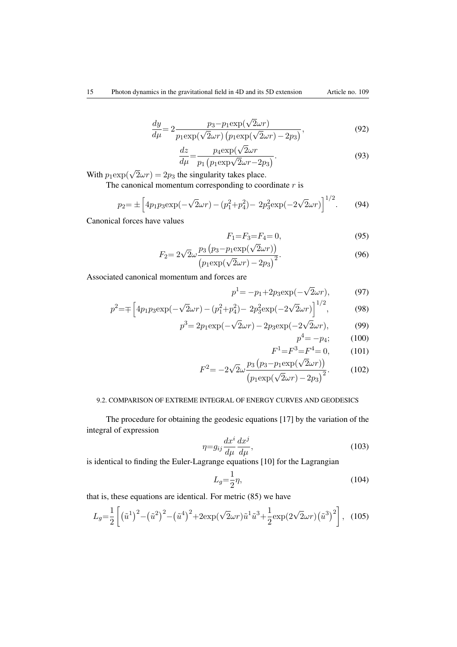$$
\frac{dy}{d\mu} = 2 \frac{p_3 - p_1 \exp(\sqrt{2}\omega r)}{p_1 \exp(\sqrt{2}\omega r) \left(p_1 \exp(\sqrt{2}\omega r) - 2p_3\right)},\tag{92}
$$

$$
\frac{dz}{d\mu} = \frac{p_4 \exp(\sqrt{2}\omega r)}{p_1 \left(p_1 \exp(\sqrt{2}\omega r - 2p_3)\right)}.\tag{93}
$$

With  $p_1 \exp(\sqrt{2} \omega r) = 2p_3$  the singularity takes place.

The canonical momentum corresponding to coordinate *r* is

$$
p_2 = \pm \left[ 4p_1 p_3 \exp(-\sqrt{2}\omega r) - (p_1^2 + p_4^2) - 2p_3^2 \exp(-2\sqrt{2}\omega r) \right]^{1/2}.
$$
 (94)

Canonical forces have values

$$
F_1 = F_3 = F_4 = 0,\t\t(95)
$$

$$
F_2 = 2\sqrt{2}\omega \frac{p_3 (p_3 - p_1 \exp(\sqrt{2}\omega r))}{(p_1 \exp(\sqrt{2}\omega r) - 2p_3)^2}.
$$
\n(96)

Associated canonical momentum and forces are

$$
p^1 = -p_1 + 2p_3 \exp(-\sqrt{2}\omega r),\tag{97}
$$

$$
p^{2} = \mp \left[ 4p_{1}p_{3} \exp(-\sqrt{2}\omega r) - (p_{1}^{2} + p_{4}^{2}) - 2p_{3}^{2} \exp(-2\sqrt{2}\omega r) \right]^{1/2},
$$
 (98)

$$
p^3 = 2p_1 \exp(-\sqrt{2}\omega r) - 2p_3 \exp(-2\sqrt{2}\omega r), \tag{99}
$$

$$
p^4 = -p_4; \qquad (100)
$$

$$
F^1 = F^3 = F^4 = 0,\tag{101}
$$

$$
F^{2} = -2\sqrt{2}\omega \frac{p_{3}(p_{3} - p_{1} \exp(\sqrt{2}\omega r))}{(p_{1} \exp(\sqrt{2}\omega r) - 2p_{3})^{2}}.
$$
 (102)

# 9.2. COMPARISON OF EXTREME INTEGRAL OF ENERGY CURVES AND GEODESICS

The procedure for obtaining the geodesic equations [17] by the variation of the integral of expression

$$
\eta = g_{ij} \frac{dx^i}{d\mu} \frac{dx^j}{d\mu},\tag{103}
$$

is identical to finding the Euler-Lagrange equations [10] for the Lagrangian

$$
L_g = \frac{1}{2}\eta,\tag{104}
$$

that is, these equations are identical. For metric (85) we have

$$
L_g = \frac{1}{2} \left[ \left( \tilde{u}^1 \right)^2 - \left( \tilde{u}^2 \right)^2 - \left( \tilde{u}^4 \right)^2 + 2 \exp(\sqrt{2}\omega r) \tilde{u}^1 \tilde{u}^3 + \frac{1}{2} \exp(2\sqrt{2}\omega r) \left( \tilde{u}^3 \right)^2 \right], \quad (105)
$$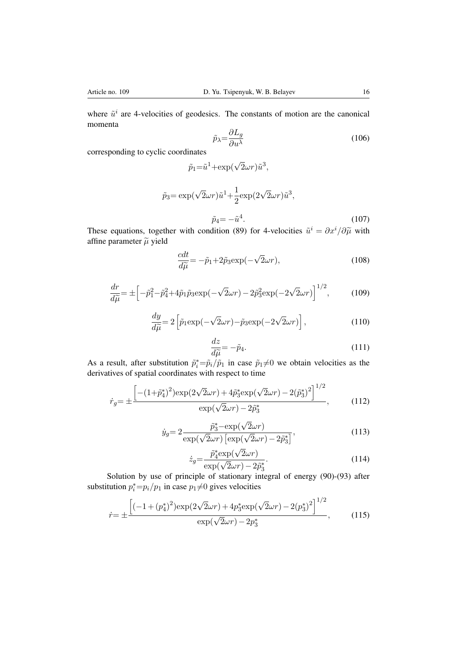where  $\tilde{u}^i$  are 4-velocities of geodesics. The constants of motion are the canonical momenta

$$
\tilde{p}_{\lambda} = \frac{\partial L_g}{\partial u^{\lambda}} \tag{106}
$$

corresponding to cyclic coordinates

$$
\tilde{p}_1 = \tilde{u}^1 + \exp(\sqrt{2}\omega r)\tilde{u}^3,
$$

$$
\tilde{p}_3 = \exp(\sqrt{2}\omega r)\tilde{u}^1 + \frac{1}{2}\exp(2\sqrt{2}\omega r)\tilde{u}^3,
$$
  

$$
\tilde{p}_4 = -\tilde{u}^4.
$$
 (107)

These equations, together with condition (89) for 4-velocities  $\tilde{u}^i = \partial x^i / \partial \tilde{\mu}$  with affine parameter  $\tilde{\mu}$  yield

$$
\frac{cdt}{d\tilde{\mu}} = -\tilde{p}_1 + 2\tilde{p}_3 \exp(-\sqrt{2}\omega r),\tag{108}
$$

$$
\frac{dr}{d\tilde{\mu}} = \pm \left[ -\tilde{p}_1^2 - \tilde{p}_4^2 + 4\tilde{p}_1 \tilde{p}_3 \exp(-\sqrt{2}\omega r) - 2\tilde{p}_3^2 \exp(-2\sqrt{2}\omega r) \right]^{1/2},\tag{109}
$$

$$
\frac{dy}{d\tilde{\mu}} = 2\left[\tilde{p}_1 \exp(-\sqrt{2}\omega r) - \tilde{p}_3 \exp(-2\sqrt{2}\omega r)\right],\tag{110}
$$

$$
\frac{dz}{d\tilde{\mu}} = -\tilde{p}_4. \tag{111}
$$

As a result, after substitution  $\tilde{p}_i^* = \tilde{p}_i / \tilde{p}_1$  in case  $\tilde{p}_1 \neq 0$  we obtain velocities as the derivatives of spatial coordinates with respect to time

$$
\dot{r}_g = \pm \frac{\left[ -(1 + \tilde{p}_4^*)^2 \right] \exp(2\sqrt{2}\omega r) + 4\tilde{p}_3^* \exp(\sqrt{2}\omega r) - 2(\tilde{p}_3^*)^2 \right]^{1/2}}{\exp(\sqrt{2}\omega r) - 2\tilde{p}_3^*},\tag{112}
$$

$$
\dot{y}_g = 2 \frac{\tilde{p}_3^* - \exp(\sqrt{2}\omega r)}{\exp(\sqrt{2}\omega r) \left[\exp(\sqrt{2}\omega r) - 2\tilde{p}_3^*\right]},
$$
\n(113)

$$
\dot{z}_g = \frac{\tilde{p}_4^* \exp(\sqrt{2}\omega r)}{\exp(\sqrt{2}\omega r) - 2\tilde{p}_3^*}.
$$
\nSolution by use of principle of stationary integral of energy (90)-(93) after

substitution  $p_i^* = p_i/p_1$  in case  $p_1 \neq 0$  gives velocities

$$
\dot{r} = \pm \frac{\left[(-1 + (p_4^*)^2)\exp(2\sqrt{2}\omega r) + 4p_3^* \exp(\sqrt{2}\omega r) - 2(p_3^*)^2\right]^{1/2}}{\exp(\sqrt{2}\omega r) - 2p_3^*},\tag{115}
$$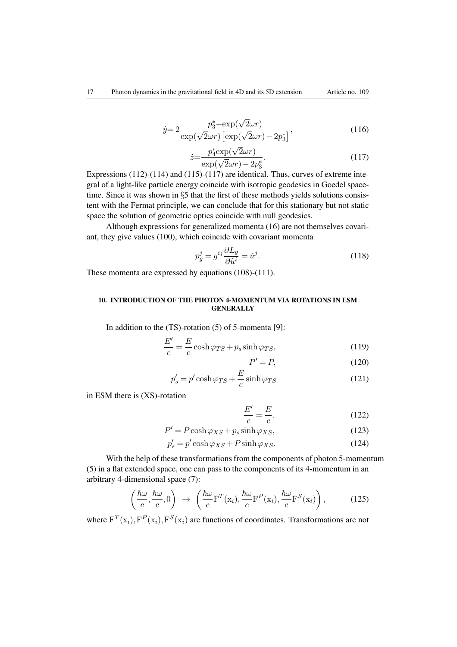$$
\dot{y} = 2 \frac{p_3^* - \exp(\sqrt{2}\omega r)}{\exp(\sqrt{2}\omega r) \left[\exp(\sqrt{2}\omega r) - 2p_3^*\right]},\tag{116}
$$

$$
\dot{z} = \frac{p_4^* \exp(\sqrt{2}\omega r)}{\exp(\sqrt{2}\omega r) - 2p_3^*}.\tag{117}
$$

Expressions (112)-(114) and (115)-(117) are identical. Thus, curves of extreme integral of a light-like particle energy coincide with isotropic geodesics in Goedel spacetime. Since it was shown in *§*5 that the first of these methods yields solutions consistent with the Fermat principle, we can conclude that for this stationary but not static space the solution of geometric optics coincide with null geodesics.

Although expressions for generalized momenta (16) are not themselves covariant, they give values (100), which coincide with covariant momenta

$$
p_g^j = g^{ij} \frac{\partial L_g}{\partial \tilde{u}^i} = \tilde{u}^j.
$$
\n(118)

These momenta are expressed by equations (108)-(111).

*E*0

### 10. INTRODUCTION OF THE PHOTON 4-MOMENTUM VIA ROTATIONS IN ESM **GENERALLY**

In addition to the (TS)-rotation (5) of 5-momenta [9]:

$$
\frac{E'}{c} = \frac{E}{c}\cosh\varphi_{TS} + p_s\sinh\varphi_{TS},\tag{119}
$$

$$
P' = P,\tag{120}
$$

$$
p_s' = p' \cosh \varphi_{TS} + \frac{E}{c} \sinh \varphi_{TS}
$$
 (121)

in ESM there is (XS)-rotation

$$
\frac{E'}{c} = \frac{E}{c},\tag{122}
$$

$$
P' = P \cosh \varphi_{XS} + p_s \sinh \varphi_{XS},\tag{123}
$$

$$
p'_s = p' \cosh \varphi_{XS} + P \sinh \varphi_{XS}.
$$
 (124)

With the help of these transformations from the components of photon 5-momentum (5) in a flat extended space, one can pass to the components of its 4-momentum in an arbitrary 4-dimensional space (7):

$$
\left(\frac{\hbar\omega}{c},\frac{\hbar\omega}{c},0\right) \rightarrow \left(\frac{\hbar\omega}{c}F^{T}(x_{i}),\frac{\hbar\omega}{c}F^{P}(x_{i}),\frac{\hbar\omega}{c}F^{S}(x_{i})\right),\qquad(125)
$$

where  $F^T(x_i)$ ,  $F^P(x_i)$ ,  $F^S(x_i)$  are functions of coordinates. Transformations are not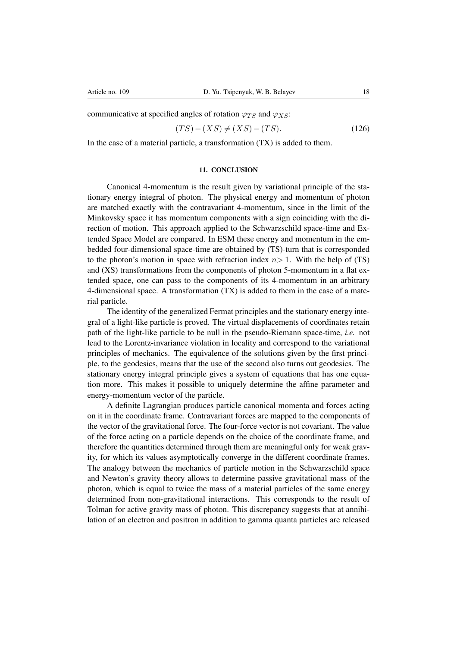communicative at specified angles of rotation  $\varphi_{TS}$  and  $\varphi_{XS}$ :

$$
(TS) - (XS) \neq (XS) - (TS). \tag{126}
$$

In the case of a material particle, a transformation (TX) is added to them.

#### 11. CONCLUSION

Canonical 4-momentum is the result given by variational principle of the stationary energy integral of photon. The physical energy and momentum of photon are matched exactly with the contravariant 4-momentum, since in the limit of the Minkovsky space it has momentum components with a sign coinciding with the direction of motion. This approach applied to the Schwarzschild space-time and Extended Space Model are compared. In ESM these energy and momentum in the embedded four-dimensional space-time are obtained by (TS)-turn that is corresponded to the photon's motion in space with refraction index  $n>1$ . With the help of (TS) and (XS) transformations from the components of photon 5-momentum in a flat extended space, one can pass to the components of its 4-momentum in an arbitrary 4-dimensional space. A transformation (TX) is added to them in the case of a material particle.

The identity of the generalized Fermat principles and the stationary energy integral of a light-like particle is proved. The virtual displacements of coordinates retain path of the light-like particle to be null in the pseudo-Riemann space-time, *i.e.* not lead to the Lorentz-invariance violation in locality and correspond to the variational principles of mechanics. The equivalence of the solutions given by the first principle, to the geodesics, means that the use of the second also turns out geodesics. The stationary energy integral principle gives a system of equations that has one equation more. This makes it possible to uniquely determine the affine parameter and energy-momentum vector of the particle.

A definite Lagrangian produces particle canonical momenta and forces acting on it in the coordinate frame. Contravariant forces are mapped to the components of the vector of the gravitational force. The four-force vector is not covariant. The value of the force acting on a particle depends on the choice of the coordinate frame, and therefore the quantities determined through them are meaningful only for weak gravity, for which its values asymptotically converge in the different coordinate frames. The analogy between the mechanics of particle motion in the Schwarzschild space and Newton's gravity theory allows to determine passive gravitational mass of the photon, which is equal to twice the mass of a material particles of the same energy determined from non-gravitational interactions. This corresponds to the result of Tolman for active gravity mass of photon. This discrepancy suggests that at annihilation of an electron and positron in addition to gamma quanta particles are released